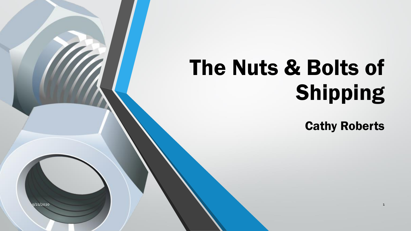# The Nuts & Bolts of Shipping

Cathy Roberts

9/21/2020 1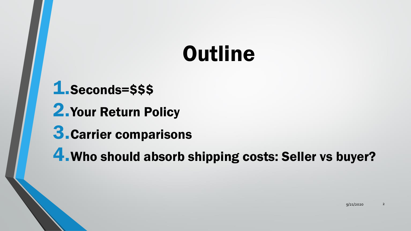### **Outline**

1.Seconds=\$\$\$ 2.Your Return Policy 3.Carrier comparisons 4.Who should absorb shipping costs: Seller vs buyer?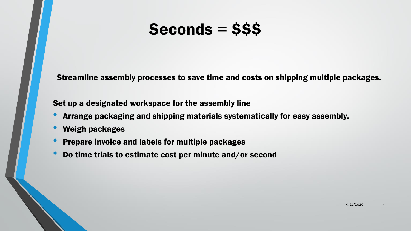### Seconds = \$\$\$

Streamline assembly processes to save time and costs on shipping multiple packages.

Set up a designated workspace for the assembly line

- Arrange packaging and shipping materials systematically for easy assembly.
- Weigh packages
- Prepare invoice and labels for multiple packages
- Do time trials to estimate cost per minute and/or second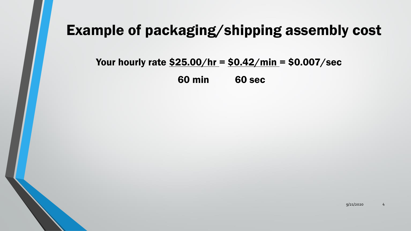### Example of packaging/shipping assembly cost

#### Your hourly rate  $$25.00/hr = $0.42/min = $0.007/sec$

60 min 60 sec

9/21/2020 4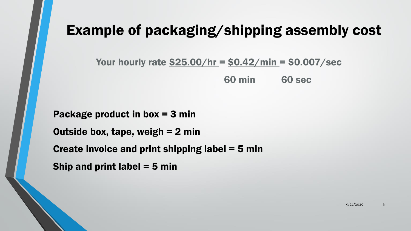### Example of packaging/shipping assembly cost

Your hourly rate  $$25.00/hr = $0.42/min = $0.007/sec$ 

60 min 60 sec

Package product in box = 3 min Outside box, tape, weigh  $= 2$  min Create invoice and print shipping label  $=$  5 min Ship and print label  $=$  5 min

9/21/2020 5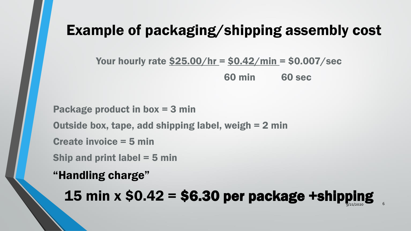### Example of packaging/shipping assembly cost

Your hourly rate  $$25.00/hr = $0.42/min = $0.007/sec$ 

60 min 60 sec

Package product in box = 3 min Outside box, tape, add shipping label, weigh = 2 min Create invoice = 5 min Ship and print label  $=$  5 min

"Handling charge"

15 min  $x$  \$0.42 = \$6.30 per package +shipping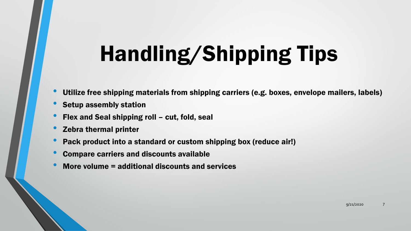# Handling/Shipping Tips

- Utilize free shipping materials from shipping carriers (e.g. boxes, envelope mailers, labels)
- Setup assembly station
- Flex and Seal shipping roll cut, fold, seal
- Zebra thermal printer
- Pack product into a standard or custom shipping box (reduce air!)
- Compare carriers and discounts available
- More volume = additional discounts and services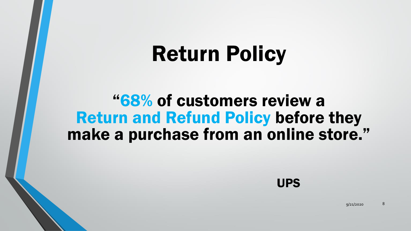### Return Policy

### "68% of customers review a Return and Refund Policy before they make a purchase from an online store."



 $9/21/2020$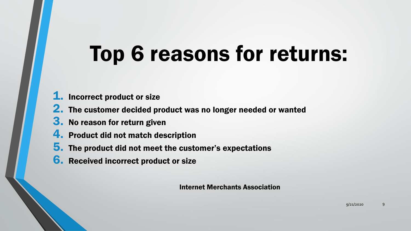## Top 6 reasons for returns:

- **1.** Incorrect product or size
- **2.** The customer decided product was no longer needed or wanted
- **3.** No reason for return given
- 4. Product did not match description
- 5. The product did not meet the customer's expectations
- **6.** Received incorrect product or size

Internet Merchants Association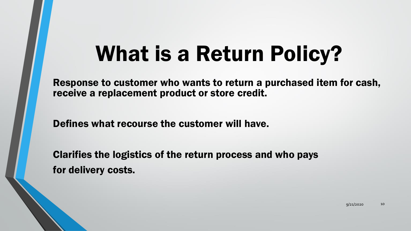### What is a Return Policy?

Response to customer who wants to return a purchased item for cash, receive a replacement product or store credit.

Defines what recourse the customer will have.

Clarifies the logistics of the return process and who pays for delivery costs.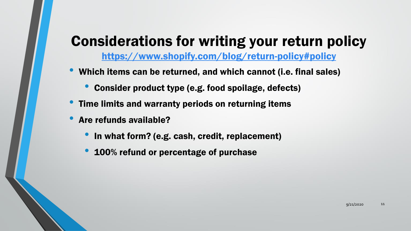### Considerations for writing your return policy

<https://www.shopify.com/blog/return-policy#policy>

- Which items can be returned, and which cannot (i.e. final sales)
	- Consider product type (e.g. food spoilage, defects)
- Time limits and warranty periods on returning items
- Are refunds available?
	- In what form? (e.g. cash, credit, replacement)
	- 100% refund or percentage of purchase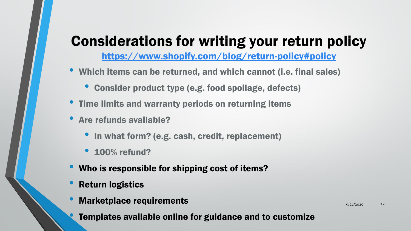### Considerations for writing your return policy

<https://www.shopify.com/blog/return-policy#policy>

- Which items can be returned, and which cannot (i.e. final sales)
	- Consider product type (e.g. food spoilage, defects)
- Time limits and warranty periods on returning items
- Are refunds available?
	- In what form? (e.g. cash, credit, replacement)
	- 100% refund?
- Who is responsible for shipping cost of items?
- **Return logistics**
- Marketplace requirements

9/21/2020 12

• Templates available online for guidance and to customize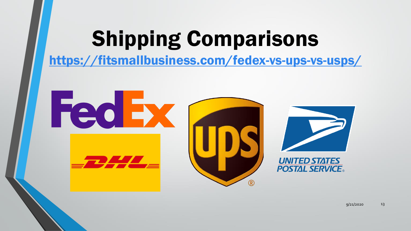## Shipping Comparisons

<https://fitsmallbusiness.com/fedex-vs-ups-vs-usps/>



9/21/2020 13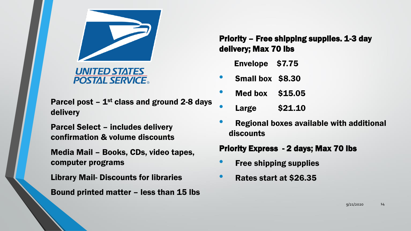

**UNITED STATES POSTAL SERVICE** 

Parcel post  $-1$ <sup>st</sup> class and ground 2-8 days delivery

Parcel Select – includes delivery confirmation & volume discounts

Media Mail – Books, CDs, video tapes, computer programs

Library Mail- Discounts for libraries

Bound printed matter – less than 15 lbs

Priority – Free shipping supplies. 1-3 day delivery; Max 70 lbs

Envelope \$7.75

• Small box \$8.30

- Med box \$15.05
- Large \$21.10
- Regional boxes available with additional discounts

Priority Express - 2 days; Max 70 lbs

- **Free shipping supplies**
- Rates start at \$26.35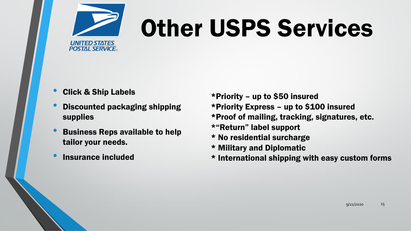

# Other USPS Services

- Click & Ship Labels
- Discounted packaging shipping supplies
- Business Reps available to help tailor your needs.
- Insurance included

\*Priority – up to \$50 insured

- \*Priority Express up to \$100 insured
- \*Proof of mailing, tracking, signatures, etc.
- \*"Return" label support
- \* No residential surcharge
- \* Military and Diplomatic
- \* International shipping with easy custom forms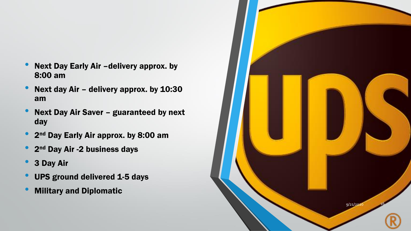- Next Day Early Air -delivery approx. by 8:00 am
- Next day Air delivery approx. by 10:30 am
- Next Day Air Saver guaranteed by next day
- $\bullet$ 2<sup>nd</sup> Day Early Air approx. by 8:00 am
- 2<sup>nd</sup> Day Air -2 business days
- 3 Day Air
- UPS ground delivered 1-5 days
- Military and Diplomatic

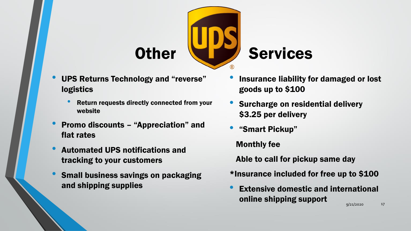

- UPS Returns Technology and "reverse" logistics
	- Return requests directly connected from your website
- Promo discounts "Appreciation" and flat rates
- Automated UPS notifications and tracking to your customers
- Small business savings on packaging and shipping supplies
- Insurance liability for damaged or lost goods up to \$100
- Surcharge on residential delivery \$3.25 per delivery
- "Smart Pickup"

Monthly fee

Able to call for pickup same day

- \*Insurance included for free up to \$100
- 9/21/2020 17 **Extensive domestic and international** online shipping support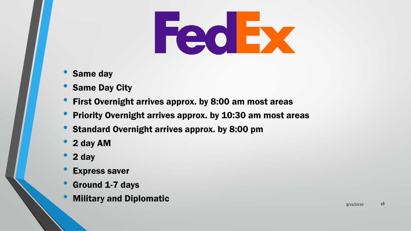# Fed Ex

- Same day
- **Same Day City**
- First Overnight arrives approx. by 8:00 am most areas
- Priority Overnight arrives approx. by 10:30 am most areas
- Standard Overnight arrives approx. by 8:00 pm
- 2 day AM
- 2 day
- **Express saver**
- Ground 1-7 days
- Military and Diplomatic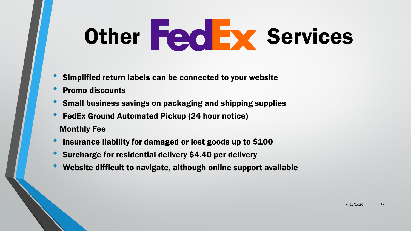# Other Fed Ex Services

- Simplified return labels can be connected to your website
- Promo discounts
- Small business savings on packaging and shipping supplies
- FedEx Ground Automated Pickup (24 hour notice) Monthly Fee
- Insurance liability for damaged or lost goods up to \$100
- Surcharge for residential delivery \$4.40 per delivery
- Website difficult to navigate, although online support available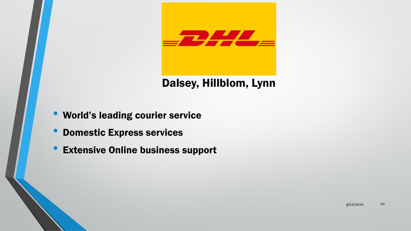

#### Dalsey, Hillblom, Lynn

- World's leading courier service
- Domestic Express services
- **Extensive Online business support**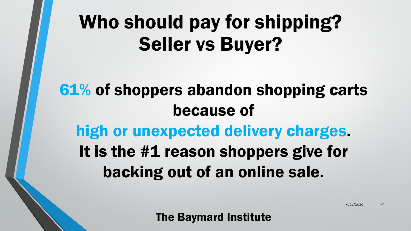### Who should pay for shipping? Seller vs Buyer?

### 61% of shoppers abandon shopping carts because of high or unexpected delivery charges. It is the #1 reason shoppers give for backing out of an online sale.

The Baymard Institute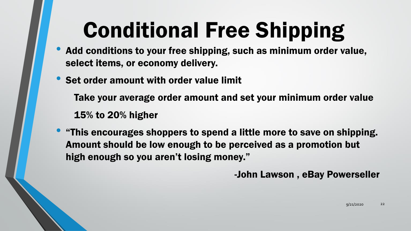# Conditional Free Shipping

- Add conditions to your free shipping, such as minimum order value, select items, or economy delivery.
- Set order amount with order value limit

Take your average order amount and set your minimum order value 15% to 20% higher

• "This encourages shoppers to spend a little more to save on shipping. Amount should be low enough to be perceived as a promotion but high enough so you aren't losing money."

-John Lawson , eBay Powerseller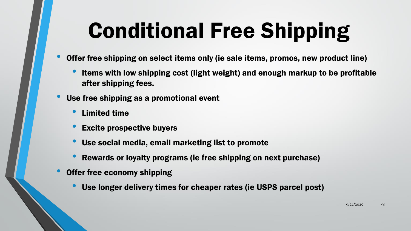# Conditional Free Shipping

- Offer free shipping on select items only (ie sale items, promos, new product line)
	- Items with low shipping cost (light weight) and enough markup to be profitable after shipping fees.
- Use free shipping as a promotional event
	- Limited time
	- **Excite prospective buyers**
	- Use social media, email marketing list to promote
	- Rewards or loyalty programs (ie free shipping on next purchase)
- Offer free economy shipping
	- Use longer delivery times for cheaper rates (ie USPS parcel post)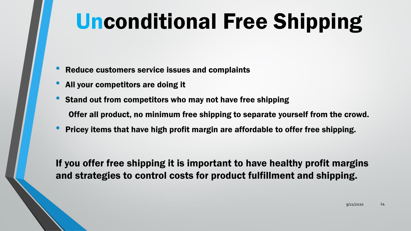# Unconditional Free Shipping

- Reduce customers service issues and complaints
- All your competitors are doing it
- Stand out from competitors who may not have free shipping Offer all product, no minimum free shipping to separate yourself from the crowd.
- Pricey items that have high profit margin are affordable to offer free shipping.

If you offer free shipping it is important to have healthy profit margins and strategies to control costs for product fulfillment and shipping.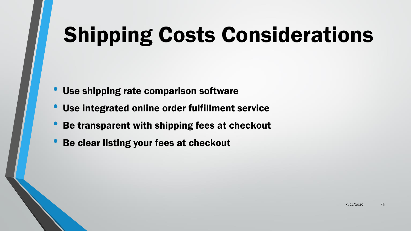# Shipping Costs Considerations

- Use shipping rate comparison software
- Use integrated online order fulfillment service
- Be transparent with shipping fees at checkout
- Be clear listing your fees at checkout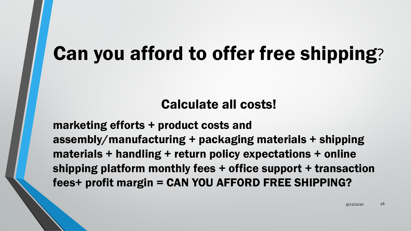### Can you afford to offer free shipping?

#### Calculate all costs!

marketing efforts + product costs and assembly/manufacturing + packaging materials + shipping materials + handling + return policy expectations + online shipping platform monthly fees + office support + transaction fees+ profit margin = CAN YOU AFFORD FREE SHIPPING?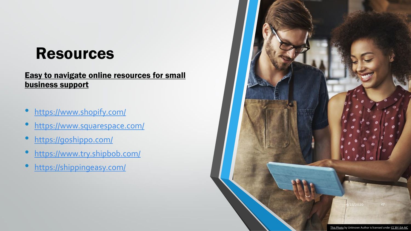### Resources

#### [Easy to navigate online resources for small](https://goshippo.com/)  business support

- <https://www.shopify.com/>
- <https://www.squarespace.com/>
- <https://goshippo.com/>
- <https://www.try.shipbob.com/>
- <https://shippingeasy.com/>

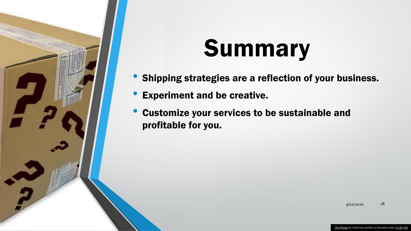

# **Summary**

- Shipping strategies are a reflection of your business.
- Experiment and be creative.
- Customize your services to be sustainable and profitable for you.